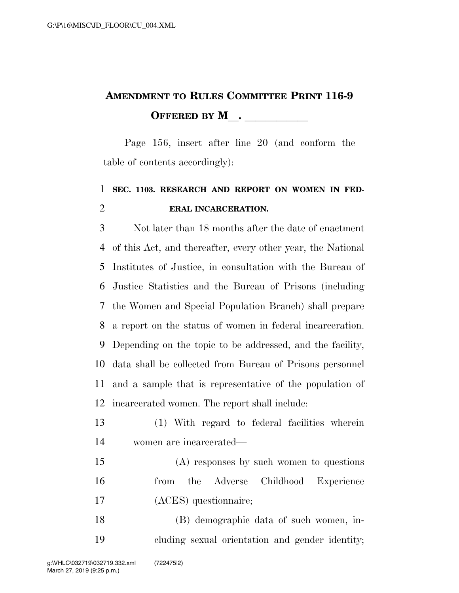## **AMENDMENT TO RULES COMMITTEE PRINT 116-9 OFFERED BY M**.

Page 156, insert after line 20 (and conform the table of contents accordingly):

## **SEC. 1103. RESEARCH AND REPORT ON WOMEN IN FED-ERAL INCARCERATION.**

 Not later than 18 months after the date of enactment of this Act, and thereafter, every other year, the National Institutes of Justice, in consultation with the Bureau of Justice Statistics and the Bureau of Prisons (including the Women and Special Population Branch) shall prepare a report on the status of women in federal incarceration. Depending on the topic to be addressed, and the facility, data shall be collected from Bureau of Prisons personnel and a sample that is representative of the population of incarcerated women. The report shall include:

- (1) With regard to federal facilities wherein women are incarcerated—
- (A) responses by such women to questions from the Adverse Childhood Experience (ACES) questionnaire;

 (B) demographic data of such women, in-cluding sexual orientation and gender identity;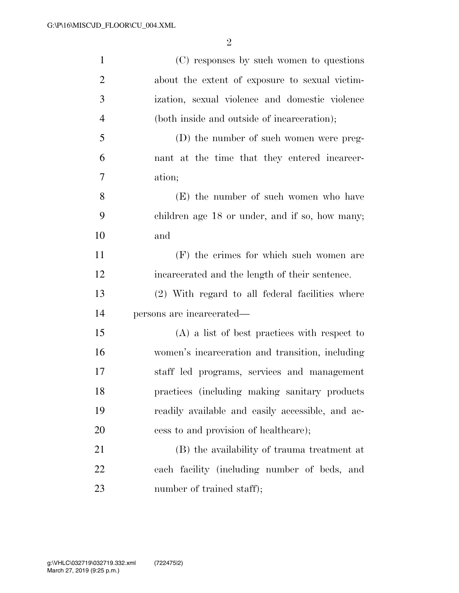| $\mathbf{1}$   | (C) responses by such women to questions         |
|----------------|--------------------------------------------------|
| $\overline{2}$ | about the extent of exposure to sexual victim-   |
| 3              | ization, sexual violence and domestic violence   |
| $\overline{4}$ | (both inside and outside of incarceration);      |
| 5              | (D) the number of such women were preg-          |
| 6              | nant at the time that they entered incarcer-     |
| 7              | ation;                                           |
| 8              | (E) the number of such women who have            |
| 9              | children age 18 or under, and if so, how many;   |
| 10             | and                                              |
| 11             | (F) the crimes for which such women are          |
| 12             | incarcerated and the length of their sentence.   |
| 13             | (2) With regard to all federal facilities where  |
| 14             | persons are incarcerated—                        |
| 15             | $(A)$ a list of best practices with respect to   |
| 16             | women's incarceration and transition, including  |
| 17             | staff led programs, services and management      |
| 18             | practices (including making sanitary products    |
| 19             | readily available and easily accessible, and ac- |
| 20             | cess to and provision of healthcare);            |
| 21             | (B) the availability of trauma treatment at      |
| 22             | each facility (including number of beds, and     |
| 23             | number of trained staff);                        |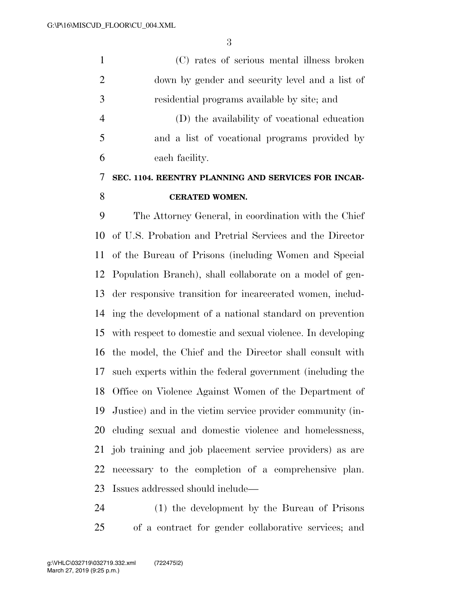(C) rates of serious mental illness broken down by gender and security level and a list of residential programs available by site; and (D) the availability of vocational education and a list of vocational programs provided by each facility.

## **SEC. 1104. REENTRY PLANNING AND SERVICES FOR INCAR-CERATED WOMEN.**

 The Attorney General, in coordination with the Chief of U.S. Probation and Pretrial Services and the Director of the Bureau of Prisons (including Women and Special Population Branch), shall collaborate on a model of gen- der responsive transition for incarcerated women, includ- ing the development of a national standard on prevention with respect to domestic and sexual violence. In developing the model, the Chief and the Director shall consult with such experts within the federal government (including the Office on Violence Against Women of the Department of Justice) and in the victim service provider community (in- cluding sexual and domestic violence and homelessness, job training and job placement service providers) as are necessary to the completion of a comprehensive plan. Issues addressed should include—

 (1) the development by the Bureau of Prisons of a contract for gender collaborative services; and